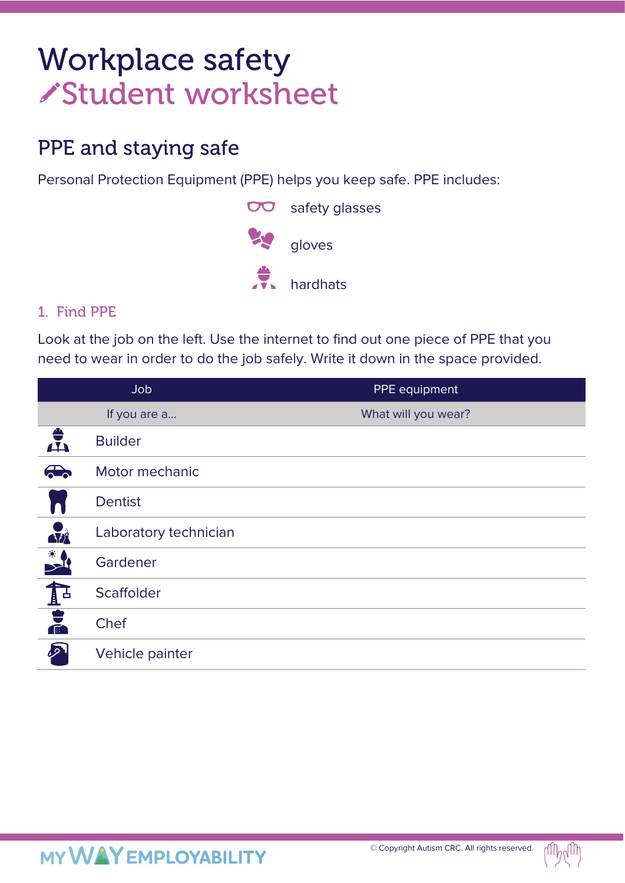# Workplace safety Student worksheet

## PPE and staying safe

Personal Protection Equipment (PPE) helps you keep safe. PPE includes:



### 1. Find PPE

Look at the job on the left. Use the internet to find out one piece of PPE that you need to wear in order to do the job safely. Write it down in the space provided.

|                      | Job                   | PPE equipment       |
|----------------------|-----------------------|---------------------|
|                      | If you are a          | What will you wear? |
| $\frac{1}{\sqrt{2}}$ | <b>Builder</b>        |                     |
| $\bigoplus$          | Motor mechanic        |                     |
|                      | <b>Dentist</b>        |                     |
| <b>Azi</b>           | Laboratory technician |                     |
|                      | Gardener              |                     |
| <b>NUMBER</b>        | Scaffolder            |                     |
|                      | Chef                  |                     |
| <b>D</b>             | Vehicle painter       |                     |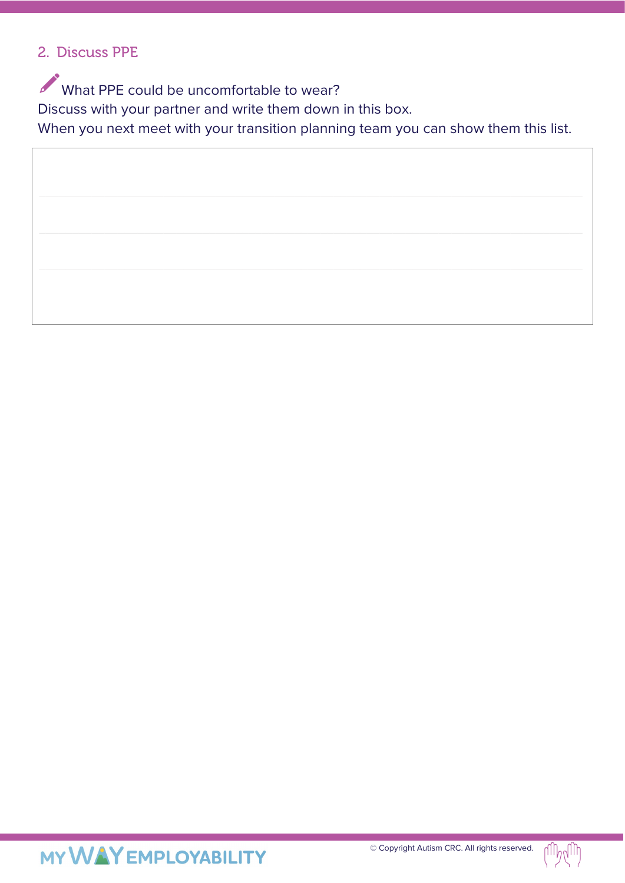#### 2. Discuss PPE

What PPE could be uncomfortable to wear? Discuss with your partner and write them down in this box. When you next meet with your transition planning team you can show them this list.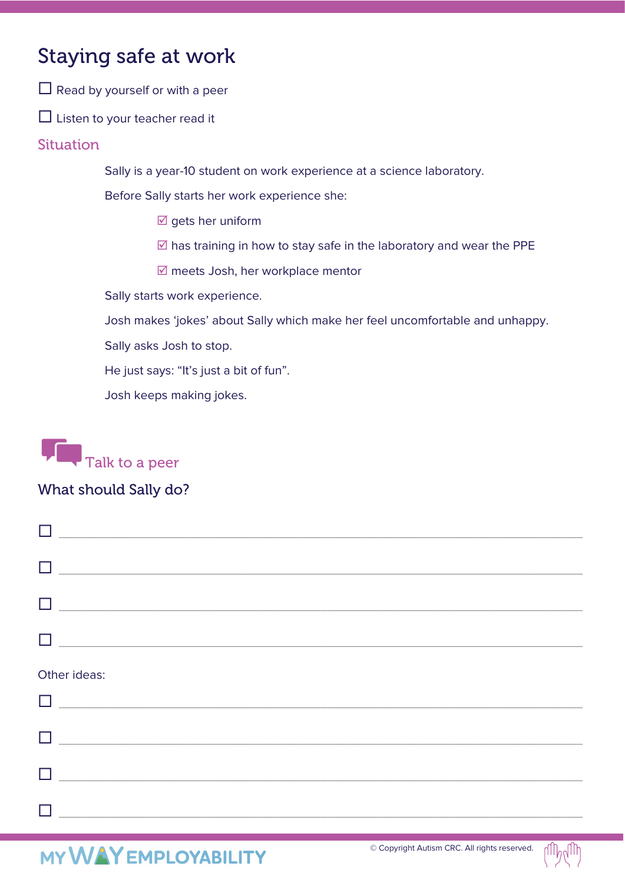### Staying safe at work

 $\Box$  Read by yourself or with a peer

 $\Box$  Listen to your teacher read it

#### **Situation**

Sally is a year-10 student on work experience at a science laboratory.

Before Sally starts her work experience she:

- $\overline{\mathbb{Z}}$  gets her uniform
- $\overline{\boxtimes}$  has training in how to stay safe in the laboratory and wear the PPE
- $\boxtimes$  meets Josh, her workplace mentor

Sally starts work experience.

Josh makes 'jokes' about Sally which make her feel uncomfortable and unhappy.

Sally asks Josh to stop.

He just says: "It's just a bit of fun".

Josh keeps making jokes.



#### What should Sally do?

| H            |  |  |
|--------------|--|--|
|              |  |  |
|              |  |  |
| Other ideas: |  |  |

| $\Box$ | $\mathcal{L}^{\text{max}}$ |
|--------|----------------------------|
| $\Box$ |                            |
| $\Box$ |                            |
| П      |                            |